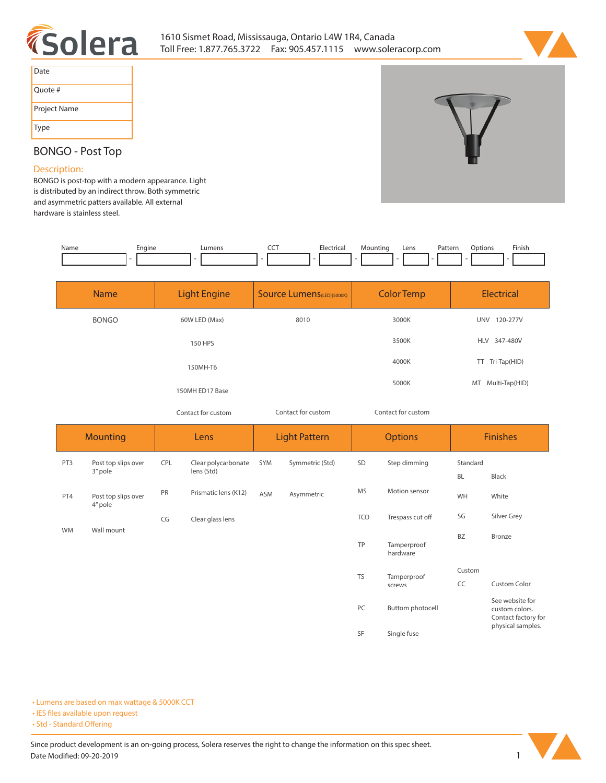



| Date         |
|--------------|
| Ouote #      |
| Project Name |
| <b>Type</b>  |



## **BONGO - Post Top**

## **Description:**

**BONGO is post-top with a modern appearance. Light is distributed by an indirect throw. Both symmetric and asymmetric patters available. All external hardware is stainless steel.** 

| Name | Engine<br>- - | Lumens | ---<br>--<br>$ -$ | Electrica<br>ricd<br>. | Lens | atter'<br>. | Jnt<br>tions<br>. | Finish |
|------|---------------|--------|-------------------|------------------------|------|-------------|-------------------|--------|
|      |               |        |                   |                        |      |             |                   |        |

| <b>Name</b>  | <b>Light Engine</b> | <b>Source Lumens</b> (LED)(5000K) | <b>Color Temp</b> | <b>Electrical</b>      |  |
|--------------|---------------------|-----------------------------------|-------------------|------------------------|--|
| <b>BONGO</b> | 60W LED (Max)       | 8010                              | 3000K             | <b>UNV</b><br>120-277V |  |
|              | 150 HPS             |                                   | 3500K             | HLV 347-480V           |  |
|              | 150MH-T6            |                                   | 4000K             | Tri-Tap(HID)<br>TT.    |  |
|              | 150MH ED17 Base     |                                   | 5000K             | MT Multi-Tap(HID)      |  |

*Contact for custom Contact for custom*

*Contact for custom*

| <b>Mounting</b> |                                | Lens |                                   | <b>Light Pattern</b> |                 | <b>Options</b> |                         | <b>Finishes</b>       |                                                          |
|-----------------|--------------------------------|------|-----------------------------------|----------------------|-----------------|----------------|-------------------------|-----------------------|----------------------------------------------------------|
| PT3             | Post top slips over<br>3" pole | CPL  | Clear polycarbonate<br>lens (Std) | SYM                  | Symmetric (Std) | SD             | Step dimming            | Standard<br><b>BL</b> | Black                                                    |
| PT4             | Post top slips over<br>4" pole | PR   | Prismatic lens (K12)              | <b>ASM</b>           | Asymmetric      | <b>MS</b>      | Motion sensor           | WH                    | White                                                    |
|                 |                                | CG   | Clear glass lens                  |                      |                 | <b>TCO</b>     | Trespass cut off        | SG                    | Silver Grey                                              |
| WM              | Wall mount                     |      |                                   |                      |                 | TP             | Tamperproof<br>hardware | BZ                    | Bronze                                                   |
|                 |                                |      |                                   |                      |                 | <b>TS</b>      | Tamperproof             | Custom                |                                                          |
|                 |                                |      |                                   |                      |                 |                | screws                  | CC                    | <b>Custom Color</b>                                      |
|                 |                                |      |                                   |                      |                 | PC             | Buttom photocell        |                       | See website for<br>custom colors.<br>Contact factory for |
|                 |                                |      |                                   |                      |                 | SF             | Single fuse             |                       | physical samples.                                        |

**• Lumens are based on max wattage & 5000K CCT**

**• IES files available upon request** 

• Std - Standard Offering